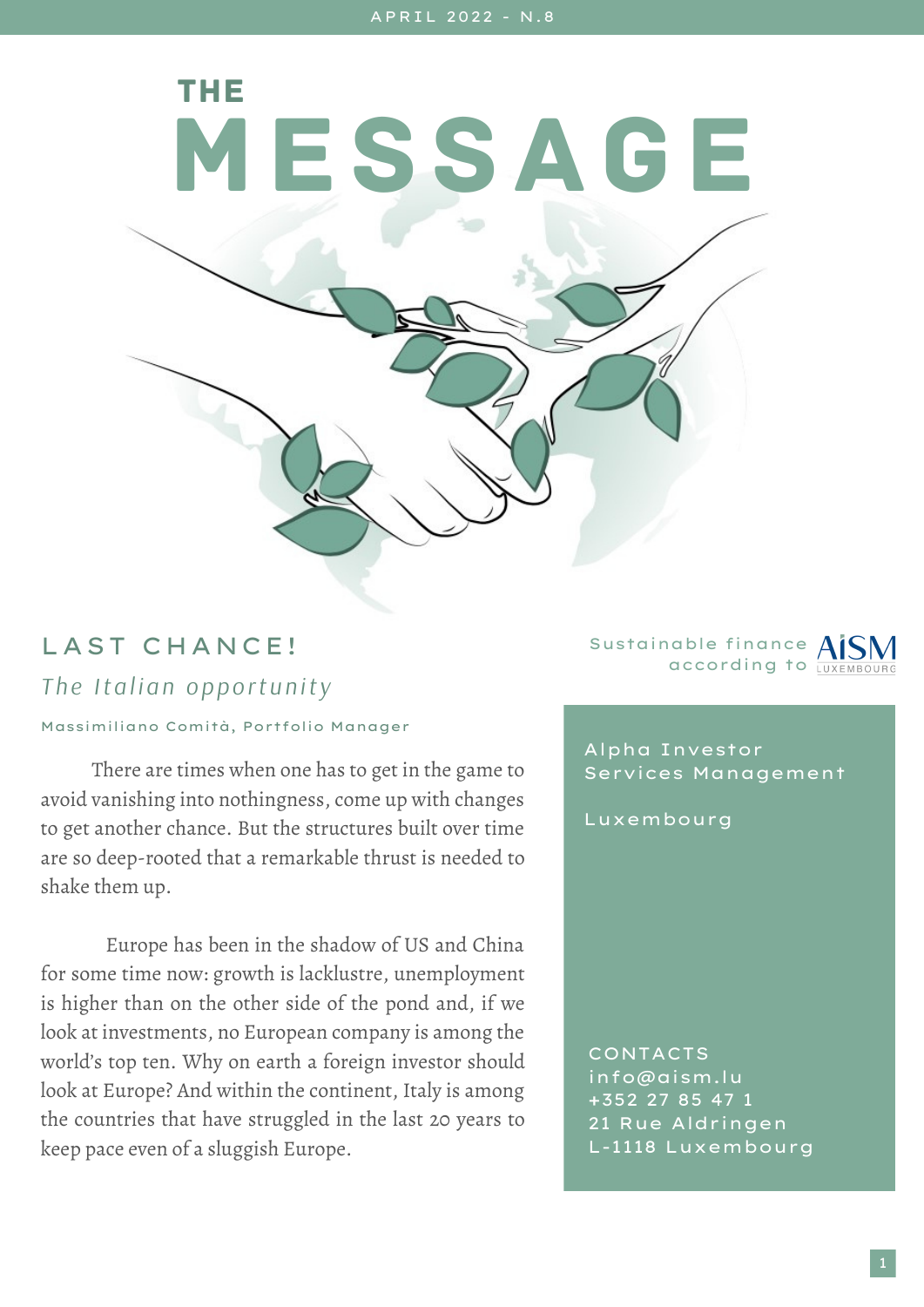MESSAGE

## LAST CHANCE! *The Italian opportunity*

## Massimiliano Comità, Portfolio Manager

THE

There are times when one has to get in the game to avoid vanishing into nothingness, come up with changes to get another chance. But the structures built over time are so deep-rooted that a remarkable thrust is needed to shake them up.

Europe has been in the shadow of US and China for some time now: growth is lacklustre, unemployment is higher than on the other side of the pond and, if we look at investments, no European company is among the world's top ten. Why on earth a foreign investor should look at Europe? And within the continent, Italy is among the countries that have struggled in the last 20 years to keep pace even of a sluggish Europe.

Sustainable finance AIS according to LUXEMBOU

Alpha Investor Services Management

Luxembourg

CONTACTS info@aism.lu +352 27 85 47 1 21 Rue Aldringen L-1118 Luxembourg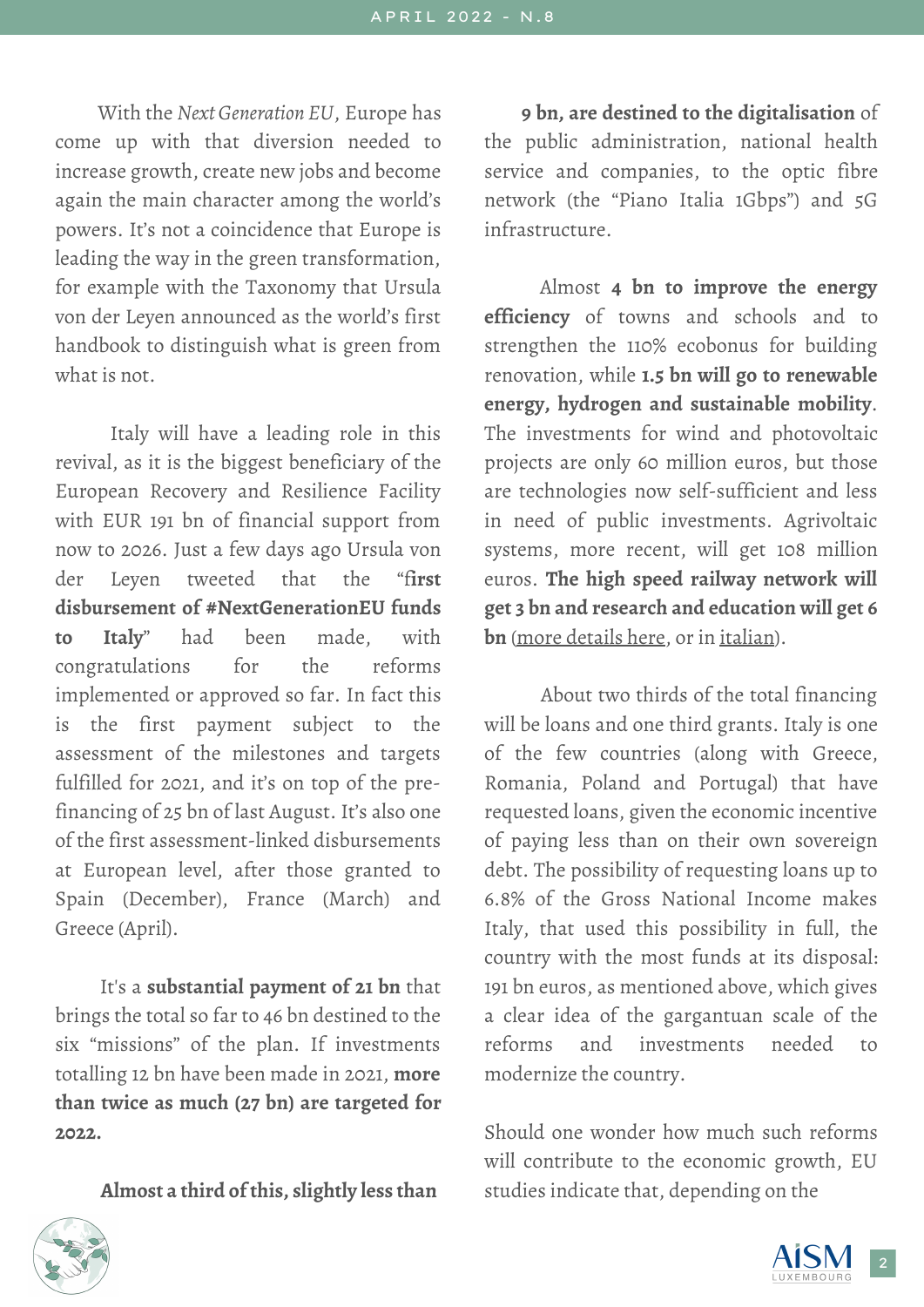With the *Next Generation EU*, Europe has come up with that diversion needed to increase growth, create new jobs and become again the main character among the world's powers. It's not a coincidence that Europe is leading the way in the green transformation, for example with the Taxonomy that Ursula von der Leyen announced as the world's first handbook to distinguish what is green from what is not.

Italy will have a leading role in this revival, as it is the biggest beneficiary of the European Recovery and Resilience Facility with EUR 191 bn of financial support from now to 2026. Just a few days ago Ursula von der Leyen tweeted that the "f**irst disbursement of #NextGenerationEU funds to Italy**" had been made, with congratulations for the reforms implemented or approved so far. In fact this is the first payment subject to the assessment of the milestones and targets fulfilled for 2021, and it's on top of the prefinancing of 25 bn of last August. It's also one of the first assessment-linked disbursements at European level, after those granted to Spain (December), France (March) and Greece (April).

It's a **substantial payment of 21 bn** that brings the total so far to 46 bn destined to the six "missions" of the plan. If investments totalling 12 bn have been made in 2021, **more than twice as much (27 bn) are targeted for 2022.**

**Almost a third of this, slightly less than**

**9 bn, are destined to the digitalisation** of the public administration, national health service and companies, to the optic fibre network (the "Piano Italia 1Gbps") and 5G infrastructure.

Almost **4 bn to improve the energy efficiency** of towns and schools and to strengthen the 110% ecobonus for building renovation, while **1.5 bn will go to renewable energy, hydrogen and sustainable mobility**. The investments for wind and photovoltaic projects are only 60 million euros, but those are technologies now self-sufficient and less in need of public investments. Agrivoltaic systems, more recent, will get 108 million euros. **The high speed railway network will get 3 bn and research and education will get 6 bn** (more [details](https://ec.europa.eu/info/business-economy-euro/recovery-coronavirus/recovery-and-resilience-facility/italys-recovery-and-resilience-plan_en) here, or in [italian](https://lab24.ilsole24ore.com/pnrr/pnrr-progetti-2022.php)).

About two thirds of the total financing will be loans and one third grants. Italy is one of the few countries (along with Greece, Romania, Poland and Portugal) that have requested loans, given the economic incentive of paying less than on their own sovereign debt. The possibility of requesting loans up to 6.8% of the Gross National Income makes Italy, that used this possibility in full, the country with the most funds at its disposal: 191 bn euros, as mentioned above, which gives a clear idea of the gargantuan scale of the reforms and investments needed to modernize the country.

Should one wonder how much such reforms will contribute to the economic growth, EU studies indicate that, depending on the